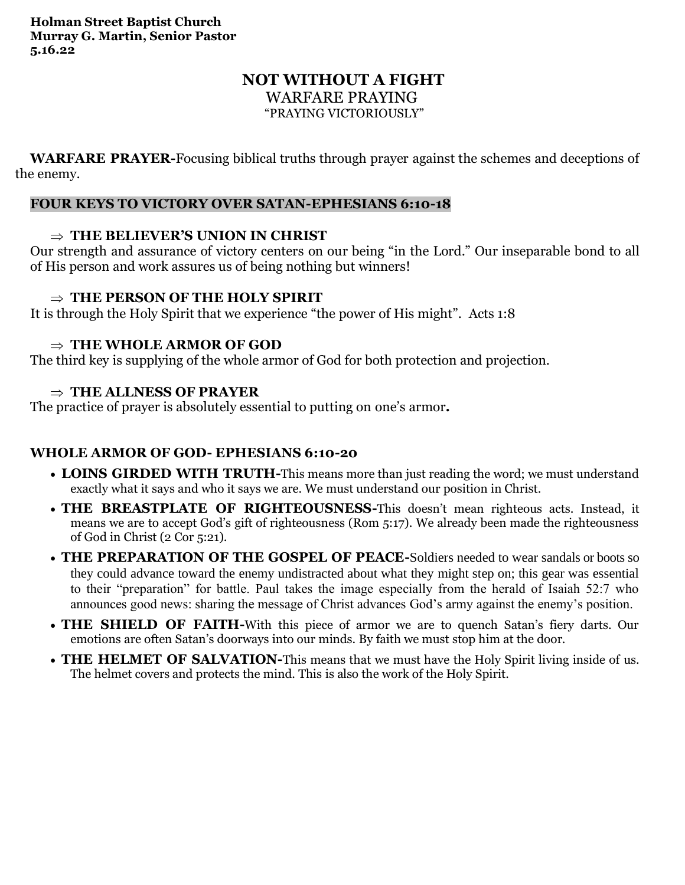# **NOT WITHOUT A FIGHT** WARFARE PRAYING

"PRAYING VICTORIOUSLY"

**WARFARE PRAYER-**Focusing biblical truths through prayer against the schemes and deceptions of the enemy.

## **FOUR KEYS TO VICTORY OVER SATAN-EPHESIANS 6:10-18**

## $\Rightarrow$  THE BELIEVER'S UNION IN CHRIST

Our strength and assurance of victory centers on our being "in the Lord." Our inseparable bond to all of His person and work assures us of being nothing but winners!

# **THE PERSON OF THE HOLY SPIRIT**

It is through the Holy Spirit that we experience "the power of His might". Acts 1:8

## **THE WHOLE ARMOR OF GOD**

The third key is supplying of the whole armor of God for both protection and projection.

## **THE ALLNESS OF PRAYER**

The practice of prayer is absolutely essential to putting on one's armor**.** 

# **WHOLE ARMOR OF GOD- EPHESIANS 6:10-20**

- **LOINS GIRDED WITH TRUTH-**This means more than just reading the word; we must understand exactly what it says and who it says we are. We must understand our position in Christ.
- **THE BREASTPLATE OF RIGHTEOUSNESS-**This doesn't mean righteous acts. Instead, it means we are to accept God's gift of righteousness (Rom 5:17). We already been made the righteousness of God in Christ (2 Cor 5:21).
- **THE PREPARATION OF THE GOSPEL OF PEACE-**Soldiers needed to wear sandals or boots so they could advance toward the enemy undistracted about what they might step on; this gear was essential to their "preparation" for battle. Paul takes the image especially from the herald of Isaiah 52:7 who announces good news: sharing the message of Christ advances God's army against the enemy's position.
- **THE SHIELD OF FAITH-**With this piece of armor we are to quench Satan's fiery darts. Our emotions are often Satan's doorways into our minds. By faith we must stop him at the door.
- **THE HELMET OF SALVATION-**This means that we must have the Holy Spirit living inside of us. The helmet covers and protects the mind. This is also the work of the Holy Spirit.